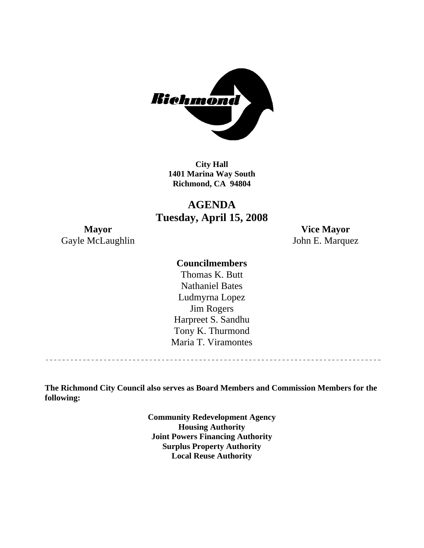

**City Hall 1401 Marina Way South Richmond, CA 94804** 

# **AGENDA Tuesday, April 15, 2008**

Gayle McLaughlin John E. Marquez

**Mayor Vice Mayor** 

#### **Councilmembers**

Harpreet S. Sandhu Tony K. Thurmond Maria T. Viramontes Thomas K. Butt Nathaniel Bates Ludmyrna Lopez Jim Rogers

<u>\_\_\_\_\_\_\_\_\_\_\_\_\_\_\_\_\_\_\_\_\_\_\_\_\_\_\_\_\_\_</u>

**The Richmond City Council also serves as Board Members and Commission Members for the following:** 

> **Community Redevelopment Agency Housing Authority Joint Powers Financing Authority Surplus Property Authority Local Reuse Authority**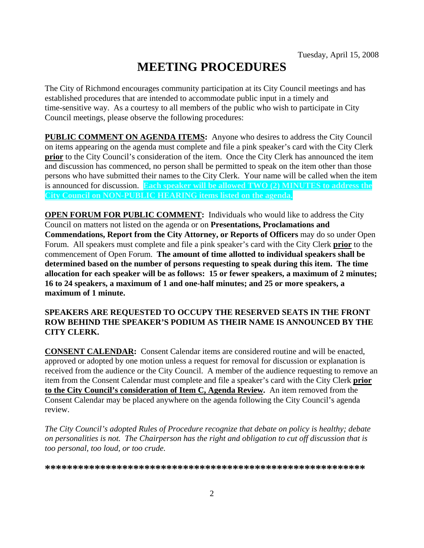# **MEETING PROCEDURES**

The City of Richmond encourages community participation at its City Council meetings and has established procedures that are intended to accommodate public input in a timely and time-sensitive way. As a courtesy to all members of the public who wish to participate in City Council meetings, please observe the following procedures:

**PUBLIC COMMENT ON AGENDA ITEMS:** Anyone who desires to address the City Council on items appearing on the agenda must complete and file a pink speaker's card with the City Clerk **prior** to the City Council's consideration of the item. Once the City Clerk has announced the item and discussion has commenced, no person shall be permitted to speak on the item other than those persons who have submitted their names to the City Clerk. Your name will be called when the item is announced for discussion. **Each speaker will be allowed TWO (2) MINUTES to address the City Council on NON-PUBLIC HEARING items listed on the agenda.** 

**OPEN FORUM FOR PUBLIC COMMENT:** Individuals who would like to address the City Council on matters not listed on the agenda or on **Presentations, Proclamations and Commendations, Report from the City Attorney, or Reports of Officers** may do so under Open Forum. All speakers must complete and file a pink speaker's card with the City Clerk **prior** to the commencement of Open Forum. **The amount of time allotted to individual speakers shall be determined based on the number of persons requesting to speak during this item. The time allocation for each speaker will be as follows: 15 or fewer speakers, a maximum of 2 minutes; 16 to 24 speakers, a maximum of 1 and one-half minutes; and 25 or more speakers, a maximum of 1 minute.** 

#### **SPEAKERS ARE REQUESTED TO OCCUPY THE RESERVED SEATS IN THE FRONT ROW BEHIND THE SPEAKER'S PODIUM AS THEIR NAME IS ANNOUNCED BY THE CITY CLERK.**

**CONSENT CALENDAR:** Consent Calendar items are considered routine and will be enacted, approved or adopted by one motion unless a request for removal for discussion or explanation is received from the audience or the City Council. A member of the audience requesting to remove an item from the Consent Calendar must complete and file a speaker's card with the City Clerk **prior to the City Council's consideration of Item C, Agenda Review.** An item removed from the Consent Calendar may be placed anywhere on the agenda following the City Council's agenda review.

*The City Council's adopted Rules of Procedure recognize that debate on policy is healthy; debate on personalities is not. The Chairperson has the right and obligation to cut off discussion that is too personal, too loud, or too crude.* 

**\*\*\*\*\*\*\*\*\*\*\*\*\*\*\*\*\*\*\*\*\*\*\*\*\*\*\*\*\*\*\*\*\*\*\*\*\*\*\*\*\*\*\*\*\*\*\*\*\*\*\*\*\*\*\*\*\*\***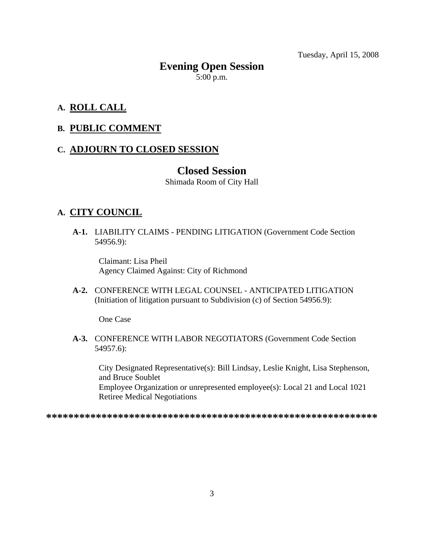Tuesday, April 15, 2008

# **Evening Open Session**  5:00 p.m.

### **A. ROLL CALL**

#### **B. PUBLIC COMMENT**

#### **C. ADJOURN TO CLOSED SESSION**

#### **Closed Session**

Shimada Room of City Hall

#### **A. CITY COUNCIL**

 **A-1.** LIABILITY CLAIMS - PENDING LITIGATION (Government Code Section 54956.9):

Claimant: Lisa Pheil Agency Claimed Against: City of Richmond

 **A-2.** CONFERENCE WITH LEGAL COUNSEL - ANTICIPATED LITIGATION (Initiation of litigation pursuant to Subdivision (c) of Section 54956.9):

One Case

 **A-3.** CONFERENCE WITH LABOR NEGOTIATORS (Government Code Section 54957.6):

City Designated Representative(s): Bill Lindsay, Leslie Knight, Lisa Stephenson, and Bruce Soublet Employee Organization or unrepresented employee(s): Local 21 and Local 1021 Retiree Medical Negotiations

**\*\*\*\*\*\*\*\*\*\*\*\*\*\*\*\*\*\*\*\*\*\*\*\*\*\*\*\*\*\*\*\*\*\*\*\*\*\*\*\*\*\*\*\*\*\*\*\*\*\*\*\*\*\*\*\*\*\*\*\***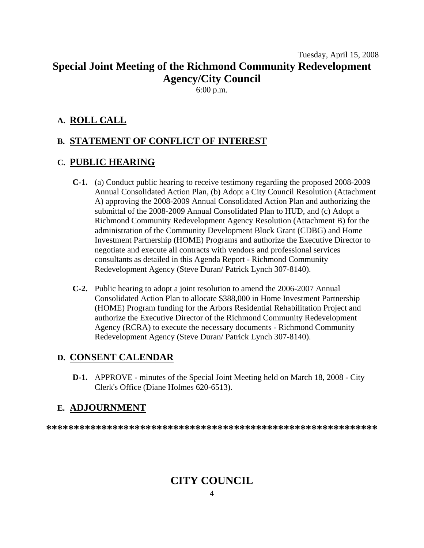# Tuesday, April 15, 2008 **Special Joint Meeting of the Richmond Community Redevelopment Agency/City Council**

6:00 p.m.

#### **A. ROLL CALL**

# **B. STATEMENT OF CONFLICT OF INTEREST**

#### **C. PUBLIC HEARING**

- **C-1.** (a) Conduct public hearing to receive testimony regarding the proposed 2008-2009 Annual Consolidated Action Plan, (b) Adopt a City Council Resolution (Attachment A) approving the 2008-2009 Annual Consolidated Action Plan and authorizing the submittal of the 2008-2009 Annual Consolidated Plan to HUD, and (c) Adopt a Richmond Community Redevelopment Agency Resolution (Attachment B) for the administration of the Community Development Block Grant (CDBG) and Home Investment Partnership (HOME) Programs and authorize the Executive Director to negotiate and execute all contracts with vendors and professional services consultants as detailed in this Agenda Report - Richmond Community Redevelopment Agency (Steve Duran/ Patrick Lynch 307-8140).
- **C-2.** Public hearing to adopt a joint resolution to amend the 2006-2007 Annual Consolidated Action Plan to allocate \$388,000 in Home Investment Partnership (HOME) Program funding for the Arbors Residential Rehabilitation Project and authorize the Executive Director of the Richmond Community Redevelopment Agency (RCRA) to execute the necessary documents - Richmond Community Redevelopment Agency (Steve Duran/ Patrick Lynch 307-8140).

#### **D. CONSENT CALENDAR**

 **D-1.** APPROVE - minutes of the Special Joint Meeting held on March 18, 2008 - City Clerk's Office (Diane Holmes 620-6513).

#### **E. ADJOURNMENT**

**\*\*\*\*\*\*\*\*\*\*\*\*\*\*\*\*\*\*\*\*\*\*\*\*\*\*\*\*\*\*\*\*\*\*\*\*\*\*\*\*\*\*\*\*\*\*\*\*\*\*\*\*\*\*\*\*\*\*\*\*** 

# **CITY COUNCIL**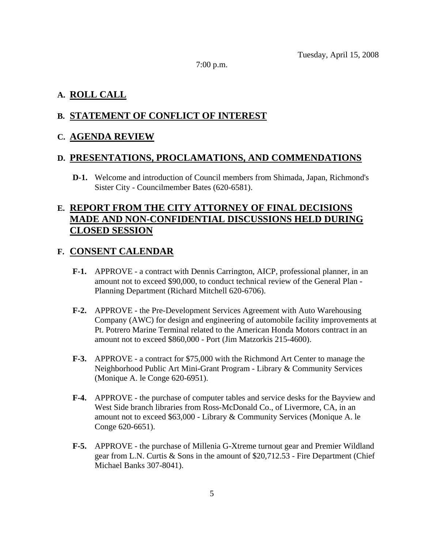7:00 p.m.

# **A. ROLL CALL**

# **B. STATEMENT OF CONFLICT OF INTEREST**

# **C. AGENDA REVIEW**

#### **D. PRESENTATIONS, PROCLAMATIONS, AND COMMENDATIONS**

 **D-1.** Welcome and introduction of Council members from Shimada, Japan, Richmond's Sister City - Councilmember Bates (620-6581).

# **E. REPORT FROM THE CITY ATTORNEY OF FINAL DECISIONS MADE AND NON-CONFIDENTIAL DISCUSSIONS HELD DURING CLOSED SESSION**

#### **F. CONSENT CALENDAR**

- **F-1.** APPROVE a contract with Dennis Carrington, AICP, professional planner, in an amount not to exceed \$90,000, to conduct technical review of the General Plan - Planning Department (Richard Mitchell 620-6706).
- **F-2.** APPROVE the Pre-Development Services Agreement with Auto Warehousing Company (AWC) for design and engineering of automobile facility improvements at Pt. Potrero Marine Terminal related to the American Honda Motors contract in an amount not to exceed \$860,000 - Port (Jim Matzorkis 215-4600).
- **F-3.** APPROVE a contract for \$75,000 with the Richmond Art Center to manage the Neighborhood Public Art Mini-Grant Program - Library & Community Services (Monique A. le Conge 620-6951).
- **F-4.** APPROVE the purchase of computer tables and service desks for the Bayview and West Side branch libraries from Ross-McDonald Co., of Livermore, CA, in an amount not to exceed \$63,000 - Library & Community Services (Monique A. le Conge 620-6651).
- **F-5.** APPROVE the purchase of Millenia G-Xtreme turnout gear and Premier Wildland gear from L.N. Curtis & Sons in the amount of \$20,712.53 - Fire Department (Chief Michael Banks 307-8041).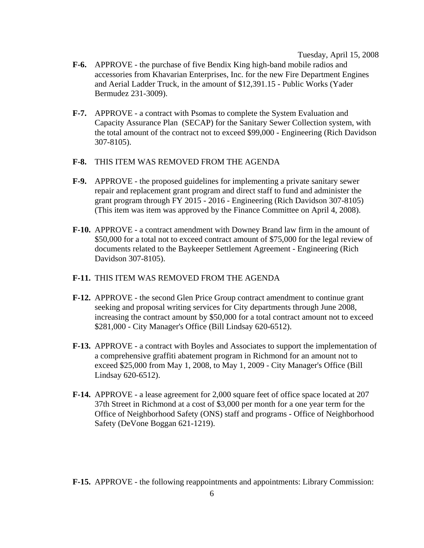Tuesday, April 15, 2008

- **F-6.** APPROVE the purchase of five Bendix King high-band mobile radios and accessories from Khavarian Enterprises, Inc. for the new Fire Department Engines and Aerial Ladder Truck, in the amount of \$12,391.15 - Public Works (Yader Bermudez 231-3009).
- **F-7.** APPROVE a contract with Psomas to complete the System Evaluation and Capacity Assurance Plan (SECAP) for the Sanitary Sewer Collection system, with the total amount of the contract not to exceed \$99,000 - Engineering (Rich Davidson 307-8105).
- **F-8.** THIS ITEM WAS REMOVED FROM THE AGENDA
- **F-9.** APPROVE the proposed guidelines for implementing a private sanitary sewer repair and replacement grant program and direct staff to fund and administer the grant program through FY 2015 - 2016 - Engineering (Rich Davidson 307-8105) (This item was item was approved by the Finance Committee on April 4, 2008).
- **F-10.** APPROVE a contract amendment with Downey Brand law firm in the amount of \$50,000 for a total not to exceed contract amount of \$75,000 for the legal review of documents related to the Baykeeper Settlement Agreement - Engineering (Rich Davidson 307-8105).
- **F-11.** THIS ITEM WAS REMOVED FROM THE AGENDA
- **F-12.** APPROVE the second Glen Price Group contract amendment to continue grant seeking and proposal writing services for City departments through June 2008, increasing the contract amount by \$50,000 for a total contract amount not to exceed \$281,000 - City Manager's Office (Bill Lindsay 620-6512).
- **F-13.** APPROVE a contract with Boyles and Associates to support the implementation of a comprehensive graffiti abatement program in Richmond for an amount not to exceed \$25,000 from May 1, 2008, to May 1, 2009 - City Manager's Office (Bill Lindsay 620-6512).
- **F-14.** APPROVE a lease agreement for 2,000 square feet of office space located at 207 37th Street in Richmond at a cost of \$3,000 per month for a one year term for the Office of Neighborhood Safety (ONS) staff and programs - Office of Neighborhood Safety (DeVone Boggan 621-1219).

 **F-15.** APPROVE - the following reappointments and appointments: Library Commission: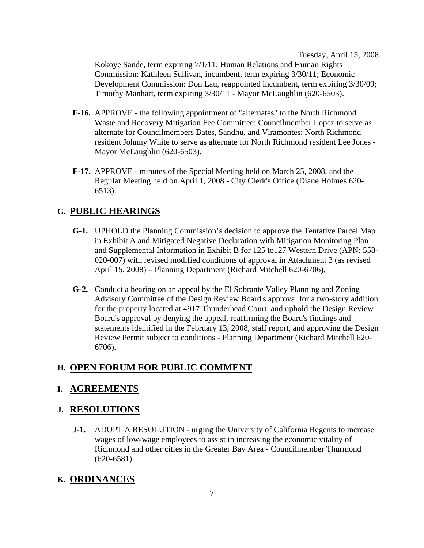Tuesday, April 15, 2008

Kokoye Sande, term expiring 7/1/11; Human Relations and Human Rights Commission: Kathleen Sullivan, incumbent, term expiring 3/30/11; Economic Development Commission: Don Lau, reappointed incumbent, term expiring 3/30/09; Timothy Manhart, term expiring 3/30/11 - Mayor McLaughlin (620-6503).

- **F-16.** APPROVE the following appointment of "alternates" to the North Richmond Waste and Recovery Mitigation Fee Committee: Councilmember Lopez to serve as alternate for Councilmembers Bates, Sandhu, and Viramontes; North Richmond resident Johnny White to serve as alternate for North Richmond resident Lee Jones - Mayor McLaughlin (620-6503).
- **F-17.** APPROVE minutes of the Special Meeting held on March 25, 2008, and the Regular Meeting held on April 1, 2008 - City Clerk's Office (Diane Holmes 620- 6513).

# **G. PUBLIC HEARINGS**

- **G-1.** UPHOLD the Planning Commission's decision to approve the Tentative Parcel Map in Exhibit A and Mitigated Negative Declaration with Mitigation Monitoring Plan and Supplemental Information in Exhibit B for 125 to127 Western Drive (APN: 558- 020-007) with revised modified conditions of approval in Attachment 3 (as revised April 15, 2008) – Planning Department (Richard Mitchell 620-6706).
- **G-2.** Conduct a hearing on an appeal by the El Sobrante Valley Planning and Zoning Advisory Committee of the Design Review Board's approval for a two-story addition for the property located at 4917 Thunderhead Court, and uphold the Design Review Board's approval by denying the appeal, reaffirming the Board's findings and statements identified in the February 13, 2008, staff report, and approving the Design Review Permit subject to conditions - Planning Department (Richard Mitchell 620- 6706).

# **H. OPEN FORUM FOR PUBLIC COMMENT**

# **I. AGREEMENTS**

# **J. RESOLUTIONS**

**J-1.** ADOPT A RESOLUTION - urging the University of California Regents to increase wages of low-wage employees to assist in increasing the economic vitality of Richmond and other cities in the Greater Bay Area - Councilmember Thurmond (620-6581).

# **K. ORDINANCES**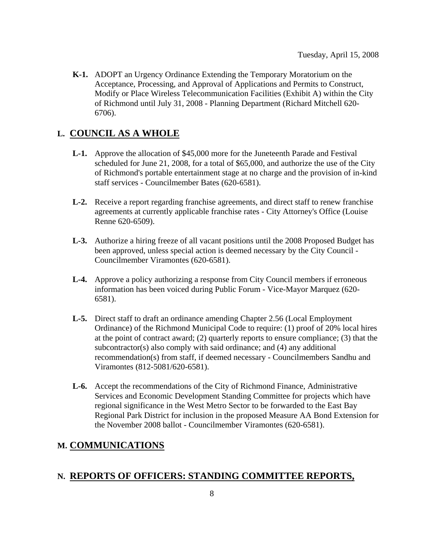**K-1.** ADOPT an Urgency Ordinance Extending the Temporary Moratorium on the Acceptance, Processing, and Approval of Applications and Permits to Construct, Modify or Place Wireless Telecommunication Facilities (Exhibit A) within the City of Richmond until July 31, 2008 - Planning Department (Richard Mitchell 620- 6706).

# **L. COUNCIL AS A WHOLE**

- **L-1.** Approve the allocation of \$45,000 more for the Juneteenth Parade and Festival scheduled for June 21, 2008, for a total of \$65,000, and authorize the use of the City of Richmond's portable entertainment stage at no charge and the provision of in-kind staff services - Councilmember Bates (620-6581).
- **L-2.** Receive a report regarding franchise agreements, and direct staff to renew franchise agreements at currently applicable franchise rates - City Attorney's Office (Louise Renne 620-6509).
- **L-3.** Authorize a hiring freeze of all vacant positions until the 2008 Proposed Budget has been approved, unless special action is deemed necessary by the City Council - Councilmember Viramontes (620-6581).
- **L-4.** Approve a policy authorizing a response from City Council members if erroneous information has been voiced during Public Forum - Vice-Mayor Marquez (620- 6581).
- **L-5.** Direct staff to draft an ordinance amending Chapter 2.56 (Local Employment Ordinance) of the Richmond Municipal Code to require: (1) proof of 20% local hires at the point of contract award; (2) quarterly reports to ensure compliance; (3) that the subcontractor(s) also comply with said ordinance; and (4) any additional recommendation(s) from staff, if deemed necessary - Councilmembers Sandhu and Viramontes (812-5081/620-6581).
- **L-6.** Accept the recommendations of the City of Richmond Finance, Administrative Services and Economic Development Standing Committee for projects which have regional significance in the West Metro Sector to be forwarded to the East Bay Regional Park District for inclusion in the proposed Measure AA Bond Extension for the November 2008 ballot - Councilmember Viramontes (620-6581).

# **M. COMMUNICATIONS**

#### **N. REPORTS OF OFFICERS: STANDING COMMITTEE REPORTS,**